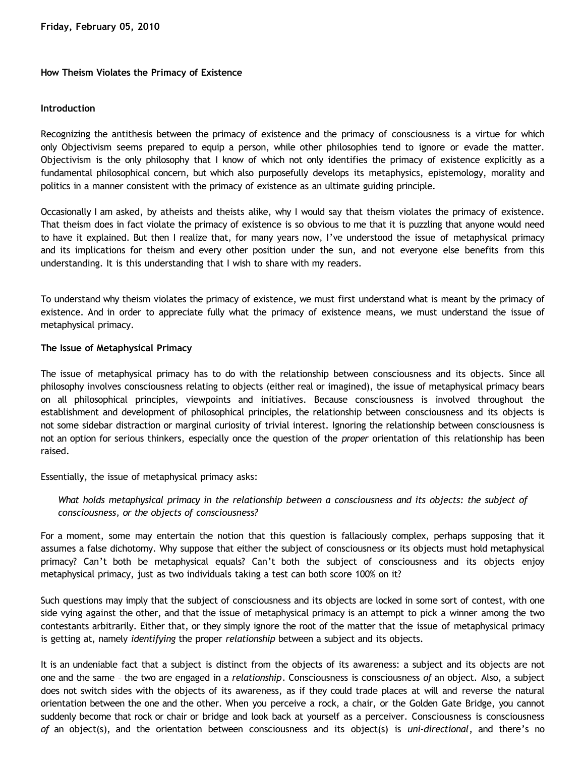### **How Theism Violates the Primacy of Existence**

### **Introduction**

Recognizing the antithesis between the primacy of existence and the primacy of consciousness is a virtue for which only Objectivism seems prepared to equip a person, while other philosophies tend to ignore or evade the matter. Objectivism is the only philosophy that I know of which not only identifies the primacy of existence explicitly as a fundamental philosophical concern, but which also purposefully develops its metaphysics, epistemology, morality and politics in a manner consistent with the primacy of existence as an ultimate guiding principle.

Occasionally I am asked, by atheists and theists alike, why I would say that theism violates the primacy of existence. That theism does in fact violate the primacy of existence is so obvious to me that it is puzzling that anyone would need to have it explained. But then I realize that, for many years now, I've understood the issue of metaphysical primacy and its implications for theism and every other position under the sun, and not everyone else benefits from this understanding. It is this understanding that I wish to share with my readers.

To understand why theism violates the primacy of existence, we must first understand what is meant by the primacy of existence. And in order to appreciate fully what the primacy of existence means, we must understand the issue of metaphysical primacy.

### **The Issue of Metaphysical Primacy**

The issue of metaphysical primacy has to do with the relationship between consciousness and its objects. Since all philosophy involves consciousness relating to objects (either real or imagined), the issue of metaphysical primacy bears on all philosophical principles, viewpoints and initiatives. Because consciousness is involved throughout the establishment and development of philosophical principles, the relationship between consciousness and its objects is not some sidebar distraction or marginal curiosity of trivial interest. Ignoring the relationship between consciousness is not an option for serious thinkers, especially once the question of the *proper* orientation of this relationship has been raised.

Essentially, the issue of metaphysical primacy asks:

*What holds metaphysical primacy in the relationship between a consciousness and its objects: the subject of consciousness, or the objects of consciousness?*

For a moment, some may entertain the notion that this question is fallaciously complex, perhaps supposing that it assumes a false dichotomy. Why suppose that either the subject of consciousness or its objects must hold metaphysical primacy? Can't both be metaphysical equals? Can't both the subject of consciousness and its objects enjoy metaphysical primacy, just as two individuals taking a test can both score 100% on it?

Such questions may imply that the subject of consciousness and its objects are locked in some sort of contest, with one side vying against the other, and that the issue of metaphysical primacy is an attempt to pick a winner among the two contestants arbitrarily. Either that, or they simply ignore the root of the matter that the issue of metaphysical primacy is getting at, namely *identifying* the proper *relationship* between a subject and its objects.

It is an undeniable fact that a subject is distinct from the objects of its awareness: a subject and its objects are not one and the same – the two are engaged in a *relationship*. Consciousness is consciousness *of* an object. Also, a subject does not switch sides with the objects of its awareness, as if they could trade places at will and reverse the natural orientation between the one and the other. When you perceive a rock, a chair, or the Golden Gate Bridge, you cannot suddenly become that rock or chair or bridge and look back at yourself as a perceiver. Consciousness is consciousness *of* an object(s), and the orientation between consciousness and its object(s) is *uni-directional*, and there's no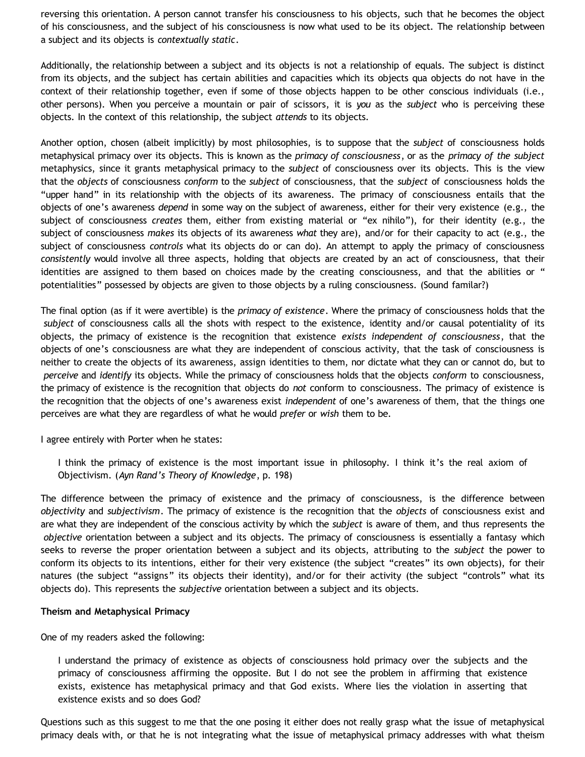reversing this orientation. A person cannot transfer his consciousness to his objects, such that he becomes the object of his consciousness, and the subject of his consciousness is now what used to be its object. The relationship between a subject and its objects is *contextually static*.

Additionally, the relationship between a subject and its objects is not a relationship of equals. The subject is distinct from its objects, and the subject has certain abilities and capacities which its objects qua objects do not have in the context of their relationship together, even if some of those objects happen to be other conscious individuals (i.e., other persons). When you perceive a mountain or pair of scissors, it is *you* as the *subject* who is perceiving these objects. In the context of this relationship, the subject *attends* to its objects.

Another option, chosen (albeit implicitly) by most philosophies, is to suppose that the *subject* of consciousness holds metaphysical primacy over its objects. This is known as the *primacy of consciousness*, or as the *primacy of the subject* metaphysics, since it grants metaphysical primacy to the *subject* of consciousness over its objects. This is the view that the *objects* of consciousness *conform* to the *subject* of consciousness, that the *subject* of consciousness holds the "upper hand" in its relationship with the objects of its awareness. The primacy of consciousness entails that the objects of one's awareness *depend* in some way on the subject of awareness, either for their very existence (e.g., the subject of consciousness *creates* them, either from existing material or "ex nihilo"), for their identity (e.g., the subject of consciousness *makes* its objects of its awareness *what* they are), and/or for their capacity to act (e.g., the subject of consciousness *controls* what its objects do or can do). An attempt to apply the primacy of consciousness *consistently* would involve all three aspects, holding that objects are created by an act of consciousness, that their identities are assigned to them based on choices made by the creating consciousness, and that the abilities or " potentialities" possessed by objects are given to those objects by a ruling consciousness. (Sound familar?)

The final option (as if it were avertible) is the *primacy of existence*. Where the primacy of consciousness holds that the *subject* of consciousness calls all the shots with respect to the existence, identity and/or causal potentiality of its objects, the primacy of existence is the recognition that existence *exists independent of consciousness*, that the objects of one's consciousness are what they are independent of conscious activity, that the task of consciousness is neither to create the objects of its awareness, assign identities to them, nor dictate what they can or cannot do, but to *perceive* and *identify* its objects. While the primacy of consciousness holds that the objects *conform* to consciousness, the primacy of existence is the recognition that objects do *not* conform to consciousness. The primacy of existence is the recognition that the objects of one's awareness exist *independent* of one's awareness of them, that the things one perceives are what they are regardless of what he would *prefer* or *wish* them to be.

I agree entirely with Porter when he states:

I think the primacy of existence is the most important issue in philosophy. I think it's the real axiom of Objectivism. (*Ayn Rand's Theory of Knowledge*, p. 198)

The difference between the primacy of existence and the primacy of consciousness, is the difference between *objectivity* and *subjectivism*. The primacy of existence is the recognition that the *objects* of consciousness exist and are what they are independent of the conscious activity by which the *subject* is aware of them, and thus represents the *objective* orientation between a subject and its objects. The primacy of consciousness is essentially a fantasy which seeks to reverse the proper orientation between a subject and its objects, attributing to the *subject* the power to conform its objects to its intentions, either for their very existence (the subject "creates" its own objects), for their natures (the subject "assigns" its objects their identity), and/or for their activity (the subject "controls" what its objects do). This represents the *subjective* orientation between a subject and its objects.

# **Theism and Metaphysical Primacy**

One of my readers asked the following:

I understand the primacy of existence as objects of consciousness hold primacy over the subjects and the primacy of consciousness affirming the opposite. But I do not see the problem in affirming that existence exists, existence has metaphysical primacy and that God exists. Where lies the violation in asserting that existence exists and so does God?

Questions such as this suggest to me that the one posing it either does not really grasp what the issue of metaphysical primacy deals with, or that he is not integrating what the issue of metaphysical primacy addresses with what theism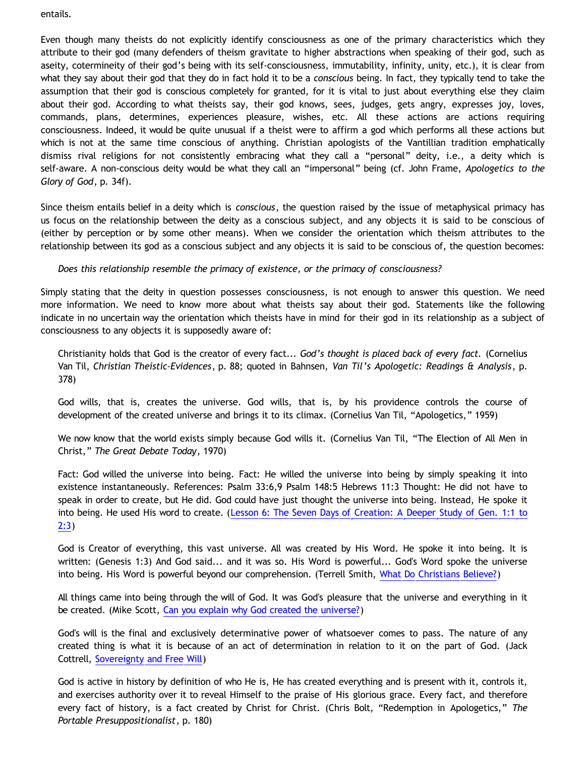entails.

Even though many theists do not explicitly identify consciousness as one of the primary characteristics which they attribute to their god (many defenders of theism gravitate to higher abstractions when speaking of their god, such as aseity, cotermineity of their god's being with its self-consciousness, immutability, infinity, unity, etc.), it is clear from what they say about their god that they do in fact hold it to be a *conscious* being. In fact, they typically tend to take the assumption that their god is conscious completely for granted, for it is vital to just about everything else they claim about their god. According to what theists say, their god knows, sees, judges, gets angry, expresses joy, loves, commands, plans, determines, experiences pleasure, wishes, etc. All these actions are actions requiring consciousness. Indeed, it would be quite unusual if a theist were to affirm a god which performs all these actions but which is not at the same time conscious of anything. Christian apologists of the Vantillian tradition emphatically dismiss rival religions for not consistently embracing what they call a "personal" deity, i.e., a deity which is self-aware. A non-conscious deity would be what they call an "impersonal" being (cf. John Frame, *Apologetics to the Glory of God*, p. 34f).

Since theism entails belief in a deity which is *conscious*, the question raised by the issue of metaphysical primacy has us focus on the relationship between the deity as a conscious subject, and any objects it is said to be conscious of (either by perception or by some other means). When we consider the orientation which theism attributes to the relationship between its god as a conscious subject and any objects it is said to be conscious of, the question becomes:

*Does this relationship resemble the primacy of existence, or the primacy of consciousness?*

Simply stating that the deity in question possesses consciousness, is not enough to answer this question. We need more information. We need to know more about what theists say about their god. Statements like the following indicate in no uncertain way the orientation which theists have in mind for their god in its relationship as a subject of consciousness to any objects it is supposedly aware of:

Christianity holds that God is the creator of every fact... *God's thought is placed back of every fact.* (Cornelius Van Til, *Christian Theistic-Evidences*, p. 88; quoted in Bahnsen, *Van Til's Apologetic: Readings & Analysis*, p. 378)

God wills, that is, creates the universe. God wills, that is, by his providence controls the course of development of the created universe and brings it to its climax. (Cornelius Van Til, "Apologetics," 1959)

We now know that the world exists simply because God wills it. (Cornelius Van Til, "The Election of All Men in Christ," *The Great Debate Today*, 1970)

Fact: God willed the universe into being. Fact: He willed the universe into being by simply speaking it into existence instantaneously. References: Psalm 33:6,9 Psalm 148:5 Hebrews 11:3 Thought: He did not have to speak in order to create, but He did. God could have just thought the universe into being. Instead, He spoke it into being. He used His word to create. ([Lesson 6: The Seven Days of Creation: A Deeper Study of Gen. 1:1 to](http://www.shirleyassembly.com/biblestudies/genesis/Lesson6deepersevendaysofcreation.pdf) [2:3](http://www.shirleyassembly.com/biblestudies/genesis/Lesson6deepersevendaysofcreation.pdf))

God is Creator of everything, this vast universe. All was created by His Word. He spoke it into being. It is written: (Genesis 1:3) And God said... and it was so. His Word is powerful... God's Word spoke the universe into being. His Word is powerful beyond our comprehension. (Terrell Smith, [What Do Christians Believe?](http://www.answering-islam.org/Basics/god.html))

All things came into being through the will of God. It was God's pleasure that the universe and everything in it be created. (Mike Scott, [Can you explain why God created the universe?](http://www.scripturessay.com/article.php?cat=&id=97))

God's will is the final and exclusively determinative power of whatsoever comes to pass. The nature of any created thing is what it is because of an act of determination in relation to it on the part of God. (Jack Cottrell, [Sovereignty and Free Will](http://www.dabar.org/SemReview/sovfrwill.html))

God is active in history by definition of who He is, He has created everything and is present with it, controls it, and exercises authority over it to reveal Himself to the praise of His glorious grace. Every fact, and therefore every fact of history, is a fact created by Christ for Christ. (Chris Bolt, "Redemption in Apologetics," *The Portable Presuppositionalist*, p. 180)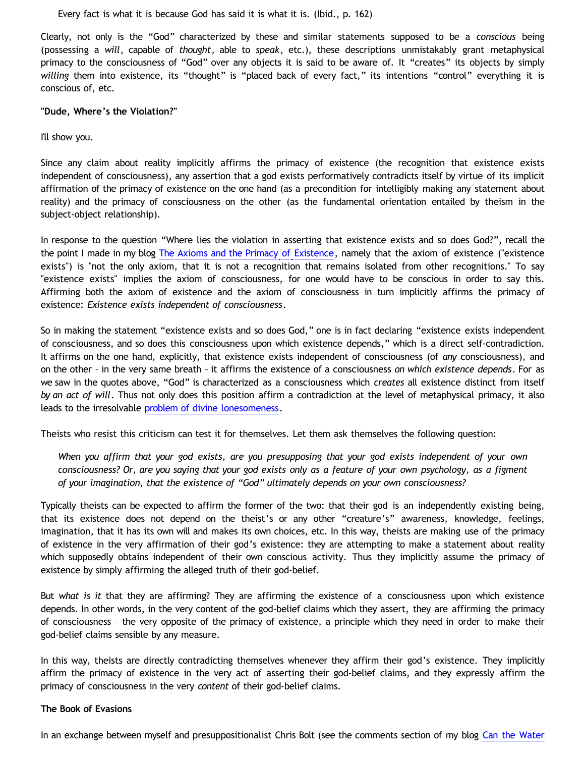Every fact is what it is because God has said it is what it is. (Ibid., p. 162)

Clearly, not only is the "God" characterized by these and similar statements supposed to be a *conscious* being (possessing a *will*, capable of *thought*, able to *speak*, etc.), these descriptions unmistakably grant metaphysical primacy to the consciousness of "God" over any objects it is said to be aware of. It "creates" its objects by simply *willing* them into existence, its "thought" is "placed back of every fact," its intentions "control" everything it is conscious of, etc.

### **"Dude, Where's the Violation?"**

I'll show you.

Since any claim about reality implicitly affirms the primacy of existence (the recognition that existence exists independent of consciousness), any assertion that a god exists performatively contradicts itself by virtue of its implicit affirmation of the primacy of existence on the one hand (as a precondition for intelligibly making any statement about reality) and the primacy of consciousness on the other (as the fundamental orientation entailed by theism in the subject-object relationship).

In response to the question "Where lies the violation in asserting that existence exists and so does God?", recall the the point I made in my blog [The Axioms and the Primacy of Existence](http://bahnsenburner.blogspot.com/2006/12/axioms-and-primacy-of-existence.html), namely that the axiom of existence ("existence exists") is "not the only axiom, that it is not a recognition that remains isolated from other recognitions." To say "existence exists" implies the axiom of consciousness, for one would have to be conscious in order to say this. Affirming both the axiom of existence and the axiom of consciousness in turn implicitly affirms the primacy of existence: *Existence exists independent of consciousness*.

So in making the statement "existence exists and so does God," one is in fact declaring "existence exists independent of consciousness, and so does this consciousness upon which existence depends," which is a direct self-contradiction. It affirms on the one hand, explicitly, that existence exists independent of consciousness (of *any* consciousness), and on the other – in the very same breath – it affirms the existence of a consciousness *on which existence depends*. For as we saw in the quotes above, "God" is characterized as a consciousness which *creates* all existence distinct from itself *by an act of will*. Thus not only does this position affirm a contradiction at the level of metaphysical primacy, it also leads to the irresolvable [problem of divine lonesomeness](http://bahnsenburner.blogspot.com/2008/07/before-beginning-problem-of-divine.html).

Theists who resist this criticism can test it for themselves. Let them ask themselves the following question:

*When you affirm that your god exists, are you presupposing that your god exists independent of your own consciousness? Or, are you saying that your god exists only as a feature of your own psychology, as a figment of your imagination, that the existence of "God" ultimately depends on your own consciousness?*

Typically theists can be expected to affirm the former of the two: that their god is an independently existing being, that its existence does not depend on the theist's or any other "creature's" awareness, knowledge, feelings, imagination, that it has its own will and makes its own choices, etc. In this way, theists are making use of the primacy of existence in the very affirmation of their god's existence: they are attempting to make a statement about reality which supposedly obtains independent of their own conscious activity. Thus they implicitly assume the primacy of existence by simply affirming the alleged truth of their god-belief.

But *what is it* that they are affirming? They are affirming the existence of a consciousness upon which existence depends. In other words, in the very content of the god-belief claims which they assert, they are affirming the primacy of consciousness – the very opposite of the primacy of existence, a principle which they need in order to make their god-belief claims sensible by any measure.

In this way, theists are directly contradicting themselves whenever they affirm their god's existence. They implicitly affirm the primacy of existence in the very act of asserting their god-belief claims, and they expressly affirm the primacy of consciousness in the very *content* of their god-belief claims.

#### **The Book of Evasions**

In an exchange between myself and presuppositionalist Chris Bolt (see the comments section of my blog [Can the Water](http://bahnsenburner.blogspot.com/2009/09/can-water-in-my-drinking-glass-turn.html)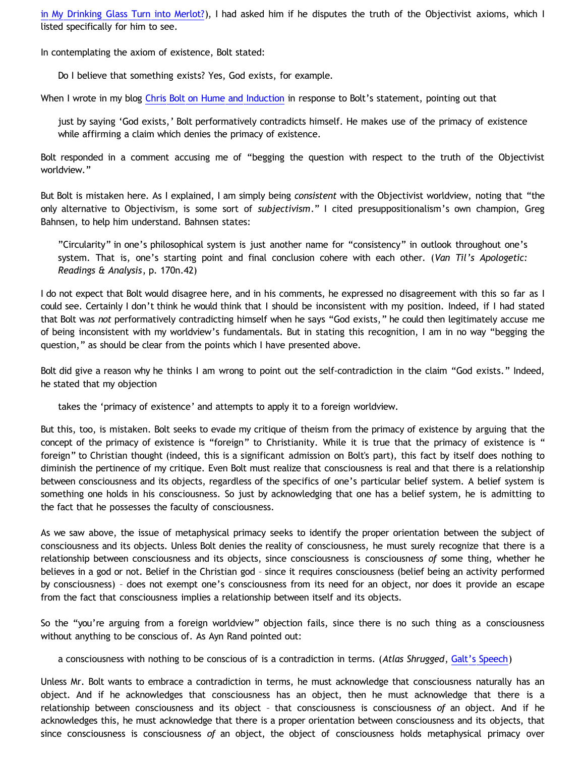[in My Drinking Glass Turn into Merlot?](http://bahnsenburner.blogspot.com/2009/09/can-water-in-my-drinking-glass-turn.html)), I had asked him if he disputes the truth of the Objectivist axioms, which I listed specifically for him to see.

In contemplating the axiom of existence, Bolt stated:

Do I believe that something exists? Yes, God exists, for example.

When I wrote in my blog [Chris Bolt on Hume and Induction](http://bahnsenburner.blogspot.com/2009/10/chris-bolt-on-hume-and-induction.html) in response to Bolt's statement, pointing out that

just by saying 'God exists,' Bolt performatively contradicts himself. He makes use of the primacy of existence while affirming a claim which denies the primacy of existence.

Bolt responded in a comment accusing me of "begging the question with respect to the truth of the Objectivist worldview."

But Bolt is mistaken here. As I explained, I am simply being *consistent* with the Objectivist worldview, noting that "the only alternative to Objectivism, is some sort of *subjectivism*." I cited presuppositionalism's own champion, Greg Bahnsen, to help him understand. Bahnsen states:

"Circularity" in one's philosophical system is just another name for "consistency" in outlook throughout one's system. That is, one's starting point and final conclusion cohere with each other. (*Van Til's Apologetic: Readings & Analysis*, p. 170n.42)

I do not expect that Bolt would disagree here, and in his comments, he expressed no disagreement with this so far as I could see. Certainly I don't think he would think that I should be inconsistent with my position. Indeed, if I had stated that Bolt was *not* performatively contradicting himself when he says "God exists," he could then legitimately accuse me of being inconsistent with my worldview's fundamentals. But in stating this recognition, I am in no way "begging the question," as should be clear from the points which I have presented above.

Bolt did give a reason why he thinks I am wrong to point out the self-contradiction in the claim "God exists." Indeed, he stated that my objection

takes the 'primacy of existence' and attempts to apply it to a foreign worldview.

But this, too, is mistaken. Bolt seeks to evade my critique of theism from the primacy of existence by arguing that the concept of the primacy of existence is "foreign" to Christianity. While it is true that the primacy of existence is " foreign" to Christian thought (indeed, this is a significant admission on Bolt's part), this fact by itself does nothing to diminish the pertinence of my critique. Even Bolt must realize that consciousness is real and that there is a relationship between consciousness and its objects, regardless of the specifics of one's particular belief system. A belief system is something one holds in his consciousness. So just by acknowledging that one has a belief system, he is admitting to the fact that he possesses the faculty of consciousness.

As we saw above, the issue of metaphysical primacy seeks to identify the proper orientation between the subject of consciousness and its objects. Unless Bolt denies the reality of consciousness, he must surely recognize that there is a relationship between consciousness and its objects, since consciousness is consciousness *of* some thing, whether he believes in a god or not. Belief in the Christian god – since it requires consciousness (belief being an activity performed by consciousness) – does not exempt one's consciousness from its need for an object, nor does it provide an escape from the fact that consciousness implies a relationship between itself and its objects.

So the "you're arguing from a foreign worldview" objection fails, since there is no such thing as a consciousness without anything to be conscious of. As Ayn Rand pointed out:

a consciousness with nothing to be conscious of is a contradiction in terms. (*Atlas Shrugged*, [Galt's Speech](http://jvwisdom.com/jv/joint-venture-videos/john-galt-speech.html))

Unless Mr. Bolt wants to embrace a contradiction in terms, he must acknowledge that consciousness naturally has an object. And if he acknowledges that consciousness has an object, then he must acknowledge that there is a relationship between consciousness and its object – that consciousness is consciousness *of* an object. And if he acknowledges this, he must acknowledge that there is a proper orientation between consciousness and its objects, that since consciousness is consciousness *of* an object, the object of consciousness holds metaphysical primacy over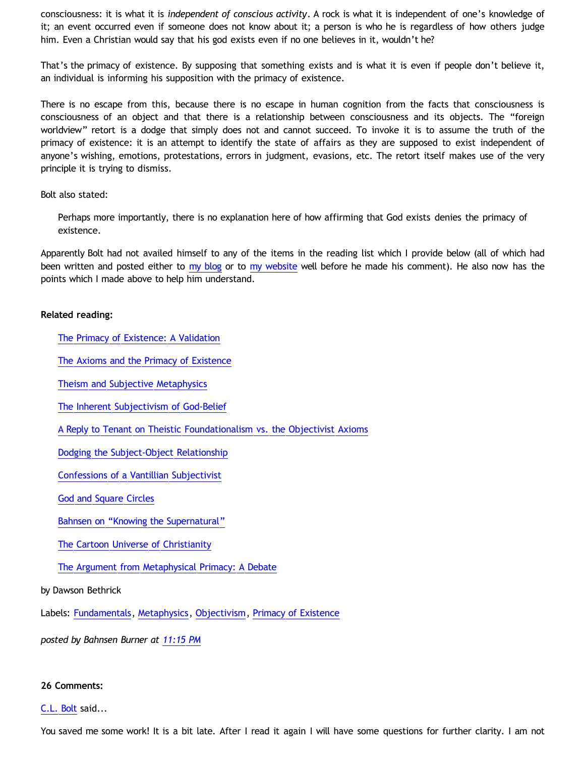consciousness: it is what it is *independent of conscious activity*. A rock is what it is independent of one's knowledge of it; an event occurred even if someone does not know about it; a person is who he is regardless of how others judge him. Even a Christian would say that his god exists even if no one believes in it, wouldn't he?

That's the primacy of existence. By supposing that something exists and is what it is even if people don't believe it, an individual is informing his supposition with the primacy of existence.

There is no escape from this, because there is no escape in human cognition from the facts that consciousness is consciousness of an object and that there is a relationship between consciousness and its objects. The "foreign worldview" retort is a dodge that simply does not and cannot succeed. To invoke it is to assume the truth of the primacy of existence: it is an attempt to identify the state of affairs as they are supposed to exist independent of anyone's wishing, emotions, protestations, errors in judgment, evasions, etc. The retort itself makes use of the very principle it is trying to dismiss.

### Bolt also stated:

Perhaps more importantly, there is no explanation here of how affirming that God exists denies the primacy of existence.

Apparently Bolt had not availed himself to any of the items in the reading list which I provide below (all of which had been written and posted either to [my blog](http://bahnsenburner.blogspot.com/) or to [my website](http://katholon.com/writings.htm) well before he made his comment). He also now has the points which I made above to help him understand.

### **Related reading:**

[The Primacy of Existence: A Validation](http://katholon.com/poe.htm)

[The Axioms and the Primacy of Existence](http://bahnsenburner.blogspot.com/2006/12/axioms-and-primacy-of-existence.html)

[Theism and Subjective Metaphysics](http://bahnsenburner.blogspot.com/2006/12/theism-and-subjective-metaphysics.html)

[The Inherent Subjectivism of God-Belief](http://bahnsenburner.blogspot.com/2008/12/inherent-subjectivism-of-god-belief.html)

[A Reply to Tenant on Theistic Foundationalism vs. the Objectivist Axioms](http://bahnsenburner.blogspot.com/2008/10/reply-to-tennant-on-theistic.html)

[Dodging the Subject-Object Relationship](http://bahnsenburner.blogspot.com/2008/06/dodging-subject-object-relationship.html)

[Confessions of a Vantillian Subjectivist](http://bahnsenburner.blogspot.com/2006/03/confessions-of-vantillian-subjectivist.html)

[God and Square Circles](http://katholon.com/squarecircles.htm)

[Bahnsen on](http://katholon.com/Bahnsen_Supernatural.htm) ["Knowing the Supernatural"](http://katholon.com/Bahnsen_Supernatural.htm)

[The Cartoon Universe of Christianity](http://katholon.com/Cartoon_Universe_of_Christianity.htm)

[The Argument from Metaphysical Primacy: A Debate](http://katholon.com/DBvPM1005.htm)

### by Dawson Bethrick

Labels: [Fundamentals](http://bahnsenburner.blogspot.com/search/label/Fundamentals), [Metaphysics](http://bahnsenburner.blogspot.com/search/label/Metaphysics), [Objectivism](http://bahnsenburner.blogspot.com/search/label/Objectivism), [Primacy of Existence](http://bahnsenburner.blogspot.com/search/label/Primacy%20of%20Existence)

*posted by Bahnsen Burner at [11:15 PM](http://bahnsenburner.blogspot.com/2010/02/how-theism-violates-primacy-of.html)*

### **26 Comments:**

### [C.L. Bolt](http://www.blogger.com/profile/15797112064238146744) said...

You saved me some work! It is a bit late. After I read it again I will have some questions for further clarity. I am not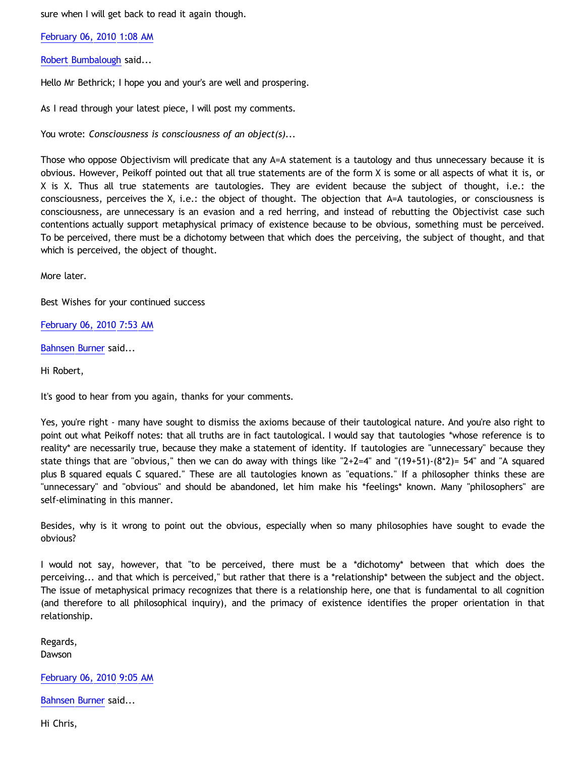sure when I will get back to read it again though.

[February 06, 2010 1:08 AM](http://bahnsenburner.blogspot.com/2010/02/2049607168721596770)

[Robert Bumbalough](http://www.blogger.com/profile/03469718358131331499) said...

Hello Mr Bethrick; I hope you and your's are well and prospering.

As I read through your latest piece, I will post my comments.

You wrote: *Consciousness is consciousness of an object(s)...*

Those who oppose Objectivism will predicate that any A=A statement is a tautology and thus unnecessary because it is obvious. However, Peikoff pointed out that all true statements are of the form X is some or all aspects of what it is, or X is X. Thus all true statements are tautologies. They are evident because the subject of thought, i.e.: the consciousness, perceives the X, i.e.: the object of thought. The objection that A=A tautologies, or consciousness is consciousness, are unnecessary is an evasion and a red herring, and instead of rebutting the Objectivist case such contentions actually support metaphysical primacy of existence because to be obvious, something must be perceived. To be perceived, there must be a dichotomy between that which does the perceiving, the subject of thought, and that which is perceived, the object of thought.

More later.

Best Wishes for your continued success

[February 06, 2010 7:53 AM](http://bahnsenburner.blogspot.com/2010/02/3130744492814101979)

[Bahnsen Burner](http://www.blogger.com/profile/11030029491768748360) said...

Hi Robert,

It's good to hear from you again, thanks for your comments.

Yes, you're right - many have sought to dismiss the axioms because of their tautological nature. And you're also right to point out what Peikoff notes: that all truths are in fact tautological. I would say that tautologies \*whose reference is to reality\* are necessarily true, because they make a statement of identity. If tautologies are "unnecessary" because they state things that are "obvious," then we can do away with things like " $2+2=4$ " and " $(19+51)-(8^*2)=54$ " and "A squared plus B squared equals C squared." These are all tautologies known as "equations." If a philosopher thinks these are "unnecessary" and "obvious" and should be abandoned, let him make his \*feelings\* known. Many "philosophers" are self-eliminating in this manner.

Besides, why is it wrong to point out the obvious, especially when so many philosophies have sought to evade the obvious?

I would not say, however, that "to be perceived, there must be a \*dichotomy\* between that which does the perceiving... and that which is perceived," but rather that there is a \*relationship\* between the subject and the object. The issue of metaphysical primacy recognizes that there is a relationship here, one that is fundamental to all cognition (and therefore to all philosophical inquiry), and the primacy of existence identifies the proper orientation in that relationship.

Regards, Dawson

[February 06, 2010 9:05 AM](http://bahnsenburner.blogspot.com/2010/02/6958931128089545242)

[Bahnsen Burner](http://www.blogger.com/profile/11030029491768748360) said...

Hi Chris,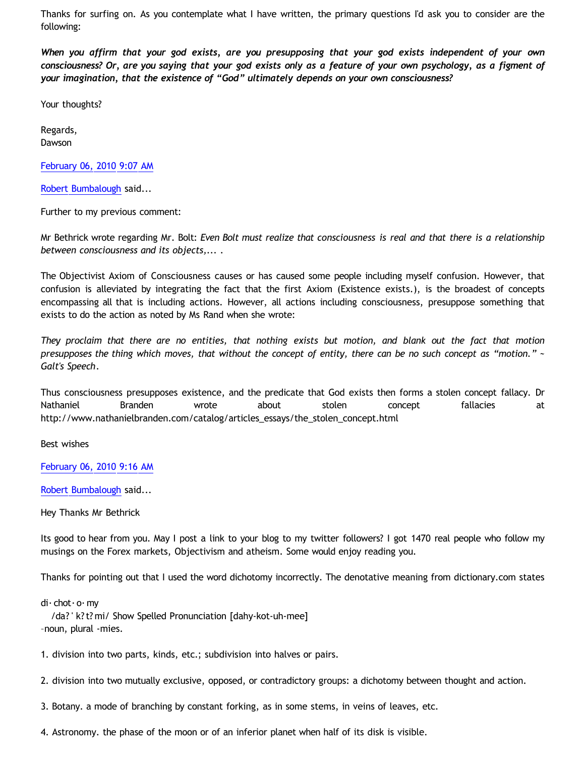Thanks for surfing on. As you contemplate what I have written, the primary questions I'd ask you to consider are the following:

*When you affirm that your god exists, are you presupposing that your god exists independent of your own consciousness? Or, are you saying that your god exists only as a feature of your own psychology, as a figment of your imagination, that the existence of "God" ultimately depends on your own consciousness?*

Your thoughts?

Regards, Dawson

[February 06, 2010 9:07 AM](http://bahnsenburner.blogspot.com/2010/02/6724714065192151467)

[Robert Bumbalough](http://www.blogger.com/profile/03469718358131331499) said...

Further to my previous comment:

Mr Bethrick wrote regarding Mr. Bolt: *Even Bolt must realize that consciousness is real and that there is a relationship between consciousness and its objects,... .*

The Objectivist Axiom of Consciousness causes or has caused some people including myself confusion. However, that confusion is alleviated by integrating the fact that the first Axiom (Existence exists.), is the broadest of concepts encompassing all that is including actions. However, all actions including consciousness, presuppose something that exists to do the action as noted by Ms Rand when she wrote:

*They proclaim that there are no entities, that nothing exists but motion, and blank out the fact that motion presupposes the thing which moves, that without the concept of entity, there can be no such concept as "motion." ~ Galt's Speech*.

Thus consciousness presupposes existence, and the predicate that God exists then forms a stolen concept fallacy. Dr Nathaniel Branden wrote about stolen concept fallacies at [http://www.nathanielbranden.com/catalog/articles\\_essays/the\\_stolen\\_concept.html](http://www.nathanielbranden.com/catalog/articles_essays/the_stolen_concept.html)

Best wishes

[February 06, 2010 9:16 AM](http://bahnsenburner.blogspot.com/2010/02/5860816503287622859)

[Robert Bumbalough](http://www.blogger.com/profile/03469718358131331499) said...

Hey Thanks Mr Bethrick

Its good to hear from you. May I post a link to your blog to my twitter followers? I got 1470 real people who follow my musings on the Forex markets, Objectivism and atheism. Some would enjoy reading you.

Thanks for pointing out that I used the word dichotomy incorrectly. The denotative meaning from dictionary.com states

di· chot· o· my

 /da? ' k?t? mi/ Show Spelled Pronunciation [dahy-kot-uh-mee] –noun, plural -mies.

1. division into two parts, kinds, etc.; subdivision into halves or pairs.

2. division into two mutually exclusive, opposed, or contradictory groups: a dichotomy between thought and action.

3. Botany. a mode of branching by constant forking, as in some stems, in veins of leaves, etc.

4. Astronomy. the phase of the moon or of an inferior planet when half of its disk is visible.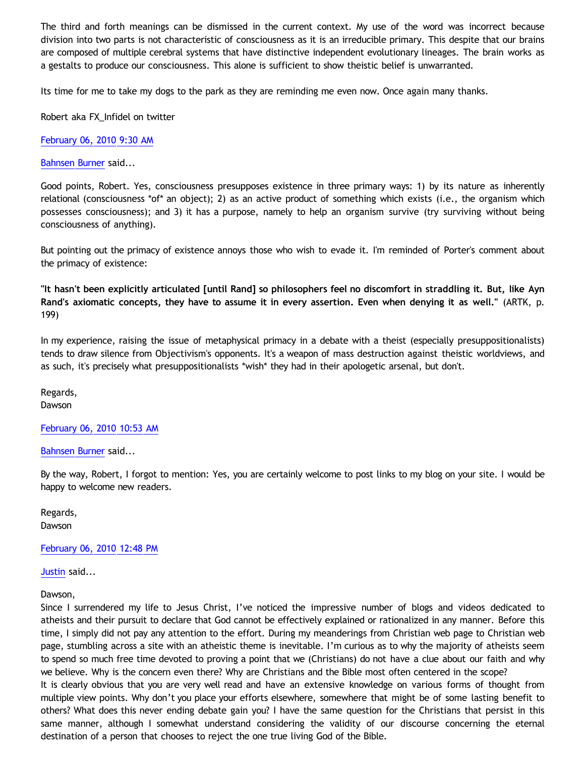The third and forth meanings can be dismissed in the current context. My use of the word was incorrect because division into two parts is not characteristic of consciousness as it is an irreducible primary. This despite that our brains are composed of multiple cerebral systems that have distinctive independent evolutionary lineages. The brain works as a gestalts to produce our consciousness. This alone is sufficient to show theistic belief is unwarranted.

Its time for me to take my dogs to the park as they are reminding me even now. Once again many thanks.

Robert aka FX\_Infidel on twitter

[February 06, 2010 9:30 AM](http://bahnsenburner.blogspot.com/2010/02/2093541974343838020)

[Bahnsen Burner](http://www.blogger.com/profile/11030029491768748360) said...

Good points, Robert. Yes, consciousness presupposes existence in three primary ways: 1) by its nature as inherently relational (consciousness \*of\* an object); 2) as an active product of something which exists (i.e., the organism which possesses consciousness); and 3) it has a purpose, namely to help an organism survive (try surviving without being consciousness of anything).

But pointing out the primacy of existence annoys those who wish to evade it. I'm reminded of Porter's comment about the primacy of existence:

**"It hasn't been explicitly articulated [until Rand] so philosophers feel no discomfort in straddling it. But, like Ayn Rand's axiomatic concepts, they have to assume it in every assertion. Even when denying it as well."** (ARTK, p. 199)

In my experience, raising the issue of metaphysical primacy in a debate with a theist (especially presuppositionalists) tends to draw silence from Objectivism's opponents. It's a weapon of mass destruction against theistic worldviews, and as such, it's precisely what presuppositionalists \*wish\* they had in their apologetic arsenal, but don't.

Regards, Dawson

[February 06, 2010 10:53 AM](http://bahnsenburner.blogspot.com/2010/02/2122474892399998744)

[Bahnsen Burner](http://www.blogger.com/profile/11030029491768748360) said...

By the way, Robert, I forgot to mention: Yes, you are certainly welcome to post links to my blog on your site. I would be happy to welcome new readers.

Regards, Dawson

[February 06, 2010 12:48 PM](http://bahnsenburner.blogspot.com/2010/02/4077344545805469835)

[Justin](http://www.blogger.com/profile/14656676015434246035) said...

Dawson,

Since I surrendered my life to Jesus Christ, I've noticed the impressive number of blogs and videos dedicated to atheists and their pursuit to declare that God cannot be effectively explained or rationalized in any manner. Before this time, I simply did not pay any attention to the effort. During my meanderings from Christian web page to Christian web page, stumbling across a site with an atheistic theme is inevitable. I'm curious as to why the majority of atheists seem to spend so much free time devoted to proving a point that we (Christians) do not have a clue about our faith and why we believe. Why is the concern even there? Why are Christians and the Bible most often centered in the scope?

It is clearly obvious that you are very well read and have an extensive knowledge on various forms of thought from multiple view points. Why don't you place your efforts elsewhere, somewhere that might be of some lasting benefit to others? What does this never ending debate gain you? I have the same question for the Christians that persist in this same manner, although I somewhat understand considering the validity of our discourse concerning the eternal destination of a person that chooses to reject the one true living God of the Bible.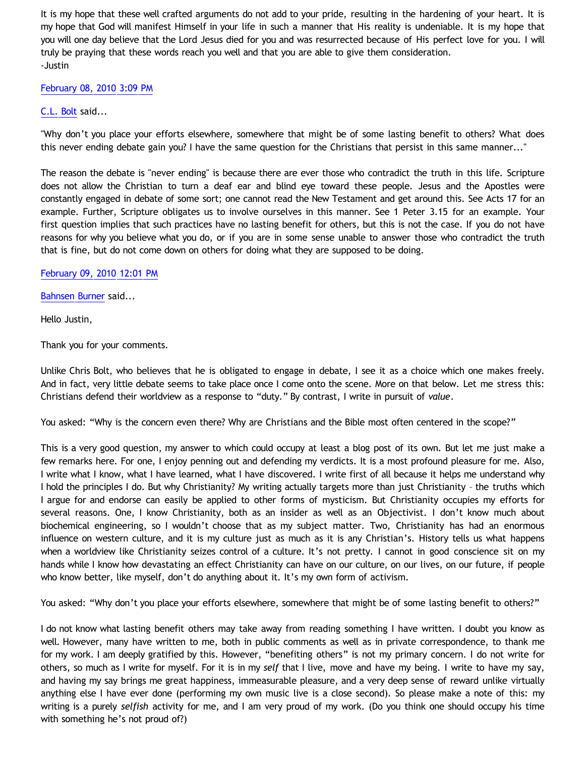It is my hope that these well crafted arguments do not add to your pride, resulting in the hardening of your heart. It is my hope that God will manifest Himself in your life in such a manner that His reality is undeniable. It is my hope that you will one day believe that the Lord Jesus died for you and was resurrected because of His perfect love for you. I will truly be praying that these words reach you well and that you are able to give them consideration. -Justin

### [February 08, 2010 3:09 PM](http://bahnsenburner.blogspot.com/2010/02/8727277945489516700)

# [C.L. Bolt](http://www.blogger.com/profile/15797112064238146744) said...

"Why don't you place your efforts elsewhere, somewhere that might be of some lasting benefit to others? What does this never ending debate gain you? I have the same question for the Christians that persist in this same manner..."

The reason the debate is "never ending" is because there are ever those who contradict the truth in this life. Scripture does not allow the Christian to turn a deaf ear and blind eye toward these people. Jesus and the Apostles were constantly engaged in debate of some sort; one cannot read the New Testament and get around this. See Acts 17 for an example. Further, Scripture obligates us to involve ourselves in this manner. See 1 Peter 3.15 for an example. Your first question implies that such practices have no lasting benefit for others, but this is not the case. If you do not have reasons for why you believe what you do, or if you are in some sense unable to answer those who contradict the truth that is fine, but do not come down on others for doing what they are supposed to be doing.

[February 09, 2010 12:01 PM](http://bahnsenburner.blogspot.com/2010/02/9142735388631781542)

[Bahnsen Burner](http://www.blogger.com/profile/11030029491768748360) said...

Hello Justin,

Thank you for your comments.

Unlike Chris Bolt, who believes that he is obligated to engage in debate, I see it as a choice which one makes freely. And in fact, very little debate seems to take place once I come onto the scene. More on that below. Let me stress this: Christians defend their worldview as a response to "duty." By contrast, I write in pursuit of *value*.

You asked: "Why is the concern even there? Why are Christians and the Bible most often centered in the scope?"

This is a very good question, my answer to which could occupy at least a blog post of its own. But let me just make a few remarks here. For one, I enjoy penning out and defending my verdicts. It is a most profound pleasure for me. Also, I write what I know, what I have learned, what I have discovered. I write first of all because it helps me understand why I hold the principles I do. But why Christianity? My writing actually targets more than just Christianity – the truths which I argue for and endorse can easily be applied to other forms of mysticism. But Christianity occupies my efforts for several reasons. One, I know Christianity, both as an insider as well as an Objectivist. I don't know much about biochemical engineering, so I wouldn't choose that as my subject matter. Two, Christianity has had an enormous influence on western culture, and it is my culture just as much as it is any Christian's. History tells us what happens when a worldview like Christianity seizes control of a culture. It's not pretty. I cannot in good conscience sit on my hands while I know how devastating an effect Christianity can have on our culture, on our lives, on our future, if people who know better, like myself, don't do anything about it. It's my own form of activism.

You asked: "Why don't you place your efforts elsewhere, somewhere that might be of some lasting benefit to others?"

I do not know what lasting benefit others may take away from reading something I have written. I doubt you know as well. However, many have written to me, both in public comments as well as in private correspondence, to thank me for my work. I am deeply gratified by this. However, "benefiting others" is not my primary concern. I do not write for others, so much as I write for myself. For it is in my *self* that I live, move and have my being. I write to have my say, and having my say brings me great happiness, immeasurable pleasure, and a very deep sense of reward unlike virtually anything else I have ever done (performing my own music live is a close second). So please make a note of this: my writing is a purely *selfish* activity for me, and I am very proud of my work. (Do you think one should occupy his time with something he's not proud of?)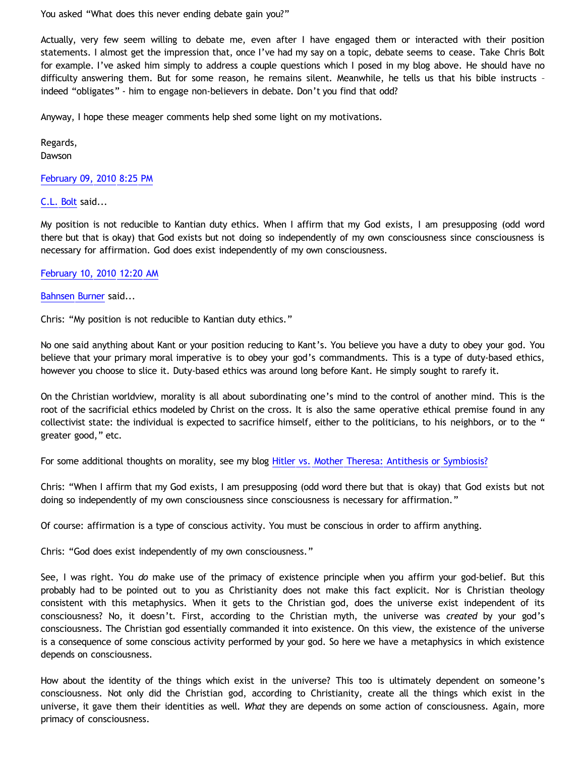You asked "What does this never ending debate gain you?"

Actually, very few seem willing to debate me, even after I have engaged them or interacted with their position statements. I almost get the impression that, once I've had my say on a topic, debate seems to cease. Take Chris Bolt for example. I've asked him simply to address a couple questions which I posed in my blog above. He should have no difficulty answering them. But for some reason, he remains silent. Meanwhile, he tells us that his bible instructs – indeed "obligates" - him to engage non-believers in debate. Don't you find that odd?

Anyway, I hope these meager comments help shed some light on my motivations.

Regards, Dawson

[February 09, 2010 8:25 PM](http://bahnsenburner.blogspot.com/2010/02/1247108921546280608)

[C.L. Bolt](http://www.blogger.com/profile/15797112064238146744) said...

My position is not reducible to Kantian duty ethics. When I affirm that my God exists, I am presupposing (odd word there but that is okay) that God exists but not doing so independently of my own consciousness since consciousness is necessary for affirmation. God does exist independently of my own consciousness.

### [February 10, 2010 12:20 AM](http://bahnsenburner.blogspot.com/2010/02/2026952013843512990)

[Bahnsen Burner](http://www.blogger.com/profile/11030029491768748360) said...

Chris: "My position is not reducible to Kantian duty ethics."

No one said anything about Kant or your position reducing to Kant's. You believe you have a duty to obey your god. You believe that your primary moral imperative is to obey your god's commandments. This is a type of duty-based ethics, however you choose to slice it. Duty-based ethics was around long before Kant. He simply sought to rarefy it.

On the Christian worldview, morality is all about subordinating one's mind to the control of another mind. This is the root of the sacrificial ethics modeled by Christ on the cross. It is also the same operative ethical premise found in any collectivist state: the individual is expected to sacrifice himself, either to the politicians, to his neighbors, or to the " greater good," etc.

For some additional thoughts on morality, see my blog [Hitler vs. Mother Theresa: Antithesis or Symbiosis?](http://bahnsenburner.blogspot.com/2006/04/hitler-vs-mother-theresa-antithesis-or.html)

Chris: "When I affirm that my God exists, I am presupposing (odd word there but that is okay) that God exists but not doing so independently of my own consciousness since consciousness is necessary for affirmation."

Of course: affirmation is a type of conscious activity. You must be conscious in order to affirm anything.

Chris: "God does exist independently of my own consciousness."

See, I was right. You *do* make use of the primacy of existence principle when you affirm your god-belief. But this probably had to be pointed out to you as Christianity does not make this fact explicit. Nor is Christian theology consistent with this metaphysics. When it gets to the Christian god, does the universe exist independent of its consciousness? No, it doesn't. First, according to the Christian myth, the universe was *created* by your god's consciousness. The Christian god essentially commanded it into existence. On this view, the existence of the universe is a consequence of some conscious activity performed by your god. So here we have a metaphysics in which existence depends on consciousness.

How about the identity of the things which exist in the universe? This too is ultimately dependent on someone's consciousness. Not only did the Christian god, according to Christianity, create all the things which exist in the universe, it gave them their identities as well. *What* they are depends on some action of consciousness. Again, more primacy of consciousness.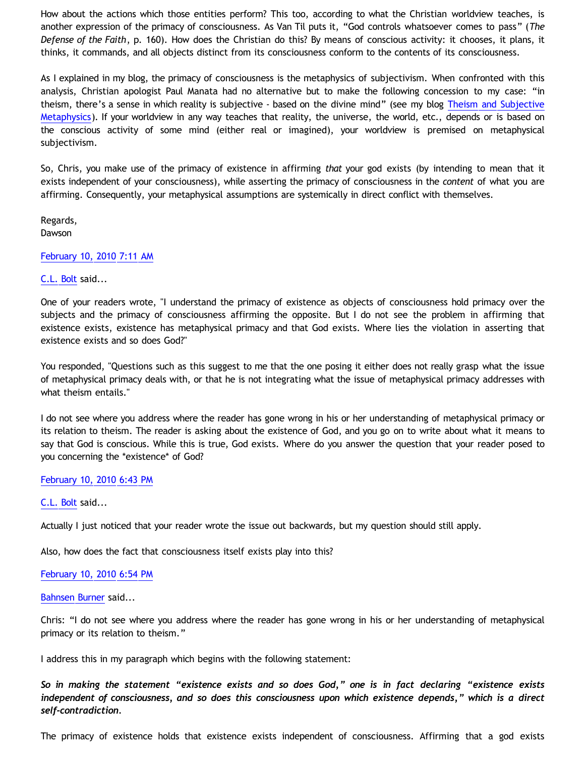How about the actions which those entities perform? This too, according to what the Christian worldview teaches, is another expression of the primacy of consciousness. As Van Til puts it, "God controls whatsoever comes to pass" (*The Defense of the Faith*, p. 160). How does the Christian do this? By means of conscious activity: it chooses, it plans, it thinks, it commands, and all objects distinct from its consciousness conform to the contents of its consciousness.

As I explained in my blog, the primacy of consciousness is the metaphysics of subjectivism. When confronted with this analysis, Christian apologist Paul Manata had no alternative but to make the following concession to my case: "in theism, there's a sense in which reality is subjective - based on the divine mind" (see my blog [Theism and Subjective](http://bahnsenburner.blogspot.com/2006/12/theism-and-subjective-metaphysics.html) [Metaphysics](http://bahnsenburner.blogspot.com/2006/12/theism-and-subjective-metaphysics.html)). If your worldview in any way teaches that reality, the universe, the world, etc., depends or is based on the conscious activity of some mind (either real or imagined), your worldview is premised on metaphysical subjectivism.

So, Chris, you make use of the primacy of existence in affirming *that* your god exists (by intending to mean that it exists independent of your consciousness), while asserting the primacy of consciousness in the *content* of what you are affirming. Consequently, your metaphysical assumptions are systemically in direct conflict with themselves.

Regards, Dawson

### [February 10, 2010 7:11 AM](http://bahnsenburner.blogspot.com/2010/02/2988767238838127744)

### [C.L. Bolt](http://www.blogger.com/profile/15797112064238146744) said...

One of your readers wrote, "I understand the primacy of existence as objects of consciousness hold primacy over the subjects and the primacy of consciousness affirming the opposite. But I do not see the problem in affirming that existence exists, existence has metaphysical primacy and that God exists. Where lies the violation in asserting that existence exists and so does God?"

You responded, "Questions such as this suggest to me that the one posing it either does not really grasp what the issue of metaphysical primacy deals with, or that he is not integrating what the issue of metaphysical primacy addresses with what theism entails."

I do not see where you address where the reader has gone wrong in his or her understanding of metaphysical primacy or its relation to theism. The reader is asking about the existence of God, and you go on to write about what it means to say that God is conscious. While this is true, God exists. Where do you answer the question that your reader posed to you concerning the \*existence\* of God?

### [February 10, 2010 6:43 PM](http://bahnsenburner.blogspot.com/2010/02/7648743535476590564)

### [C.L. Bolt](http://www.blogger.com/profile/15797112064238146744) said...

Actually I just noticed that your reader wrote the issue out backwards, but my question should still apply.

Also, how does the fact that consciousness itself exists play into this?

### [February 10, 2010 6:54 PM](http://bahnsenburner.blogspot.com/2010/02/7135976012776093909)

### [Bahnsen Burner](http://www.blogger.com/profile/11030029491768748360) said...

Chris: "I do not see where you address where the reader has gone wrong in his or her understanding of metaphysical primacy or its relation to theism."

I address this in my paragraph which begins with the following statement:

*So in making the statement "existence exists and so does God," one is in fact declaring "existence exists independent of consciousness, and so does this consciousness upon which existence depends," which is a direct self-contradiction.*

The primacy of existence holds that existence exists independent of consciousness. Affirming that a god exists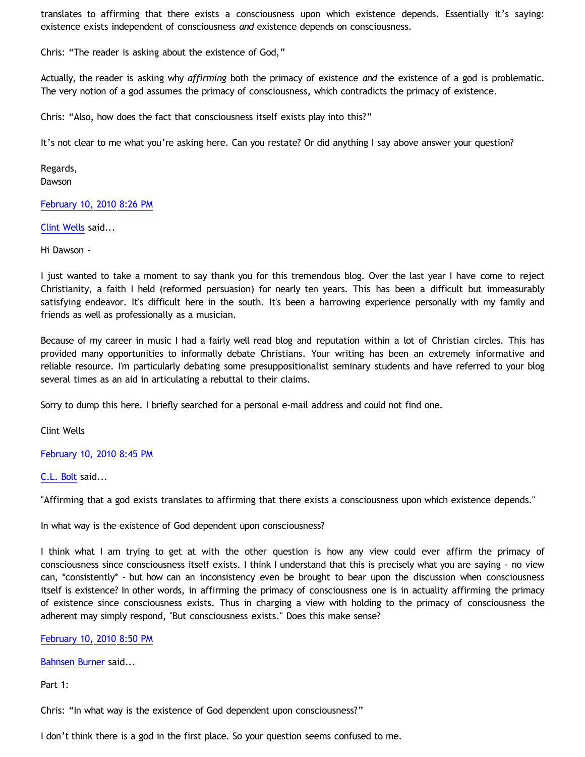translates to affirming that there exists a consciousness upon which existence depends. Essentially it's saying: existence exists independent of consciousness *and* existence depends on consciousness.

Chris: "The reader is asking about the existence of God,"

Actually, the reader is asking why *affirming* both the primacy of existence *and* the existence of a god is problematic. The very notion of a god assumes the primacy of consciousness, which contradicts the primacy of existence.

Chris: "Also, how does the fact that consciousness itself exists play into this?"

It's not clear to me what you're asking here. Can you restate? Or did anything I say above answer your question?

Regards, **Dawson** 

[February 10, 2010 8:26 PM](http://bahnsenburner.blogspot.com/2010/02/3684283998570146342)

[Clint Wells](http://www.blogger.com/profile/00726223936040053389) said...

Hi Dawson -

I just wanted to take a moment to say thank you for this tremendous blog. Over the last year I have come to reject Christianity, a faith I held (reformed persuasion) for nearly ten years. This has been a difficult but immeasurably satisfying endeavor. It's difficult here in the south. It's been a harrowing experience personally with my family and friends as well as professionally as a musician.

Because of my career in music I had a fairly well read blog and reputation within a lot of Christian circles. This has provided many opportunities to informally debate Christians. Your writing has been an extremely informative and reliable resource. I'm particularly debating some presuppositionalist seminary students and have referred to your blog several times as an aid in articulating a rebuttal to their claims.

Sorry to dump this here. I briefly searched for a personal e-mail address and could not find one.

Clint Wells

[February 10, 2010 8:45 PM](http://bahnsenburner.blogspot.com/2010/02/5477290384055096540)

[C.L. Bolt](http://www.blogger.com/profile/15797112064238146744) said...

"Affirming that a god exists translates to affirming that there exists a consciousness upon which existence depends."

In what way is the existence of God dependent upon consciousness?

I think what I am trying to get at with the other question is how any view could ever affirm the primacy of consciousness since consciousness itself exists. I think I understand that this is precisely what you are saying - no view can, \*consistently\* - but how can an inconsistency even be brought to bear upon the discussion when consciousness itself is existence? In other words, in affirming the primacy of consciousness one is in actuality affirming the primacy of existence since consciousness exists. Thus in charging a view with holding to the primacy of consciousness the adherent may simply respond, "But consciousness exists." Does this make sense?

### [February 10, 2010 8:50 PM](http://bahnsenburner.blogspot.com/2010/02/8681081602761199351)

[Bahnsen Burner](http://www.blogger.com/profile/11030029491768748360) said...

Part 1:

Chris: "In what way is the existence of God dependent upon consciousness?"

I don't think there is a god in the first place. So your question seems confused to me.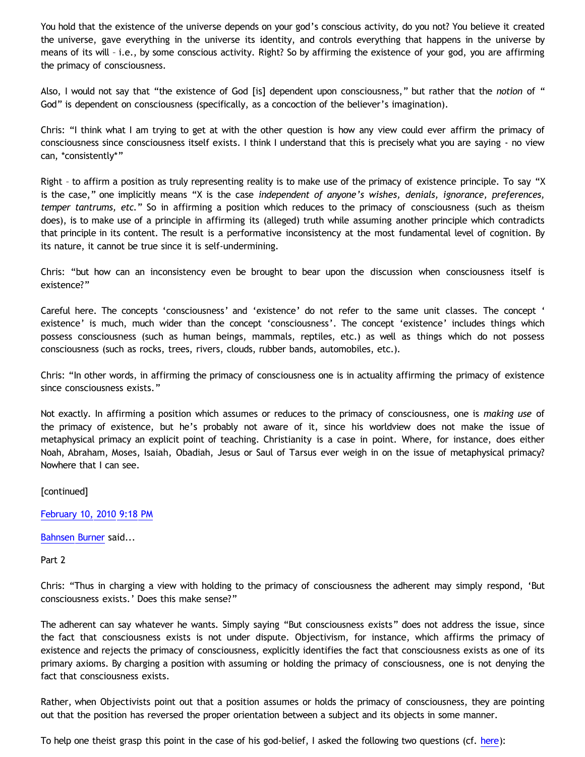You hold that the existence of the universe depends on your god's conscious activity, do you not? You believe it created the universe, gave everything in the universe its identity, and controls everything that happens in the universe by means of its will – i.e., by some conscious activity. Right? So by affirming the existence of your god, you are affirming the primacy of consciousness.

Also, I would not say that "the existence of God [is] dependent upon consciousness," but rather that the *notion* of " God" is dependent on consciousness (specifically, as a concoction of the believer's imagination).

Chris: "I think what I am trying to get at with the other question is how any view could ever affirm the primacy of consciousness since consciousness itself exists. I think I understand that this is precisely what you are saying - no view can, \*consistently\*"

Right – to affirm a position as truly representing reality is to make use of the primacy of existence principle. To say "X is the case," one implicitly means "X is the case *independent of anyone's wishes, denials, ignorance, preferences, temper tantrums, etc.*" So in affirming a position which reduces to the primacy of consciousness (such as theism does), is to make use of a principle in affirming its (alleged) truth while assuming another principle which contradicts that principle in its content. The result is a performative inconsistency at the most fundamental level of cognition. By its nature, it cannot be true since it is self-undermining.

Chris: "but how can an inconsistency even be brought to bear upon the discussion when consciousness itself is existence?"

Careful here. The concepts 'consciousness' and 'existence' do not refer to the same unit classes. The concept ' existence' is much, much wider than the concept 'consciousness'. The concept 'existence' includes things which possess consciousness (such as human beings, mammals, reptiles, etc.) as well as things which do not possess consciousness (such as rocks, trees, rivers, clouds, rubber bands, automobiles, etc.).

Chris: "In other words, in affirming the primacy of consciousness one is in actuality affirming the primacy of existence since consciousness exists."

Not exactly. In affirming a position which assumes or reduces to the primacy of consciousness, one is *making use* of the primacy of existence, but he's probably not aware of it, since his worldview does not make the issue of metaphysical primacy an explicit point of teaching. Christianity is a case in point. Where, for instance, does either Noah, Abraham, Moses, Isaiah, Obadiah, Jesus or Saul of Tarsus ever weigh in on the issue of metaphysical primacy? Nowhere that I can see.

[continued]

[February 10, 2010 9:18 PM](http://bahnsenburner.blogspot.com/2010/02/2172359355933455792)

[Bahnsen Burner](http://www.blogger.com/profile/11030029491768748360) said...

Part 2

Chris: "Thus in charging a view with holding to the primacy of consciousness the adherent may simply respond, 'But consciousness exists.' Does this make sense?"

The adherent can say whatever he wants. Simply saying "But consciousness exists" does not address the issue, since the fact that consciousness exists is not under dispute. Objectivism, for instance, which affirms the primacy of existence and rejects the primacy of consciousness, explicitly identifies the fact that consciousness exists as one of its primary axioms. By charging a position with assuming or holding the primacy of consciousness, one is not denying the fact that consciousness exists.

Rather, when Objectivists point out that a position assumes or holds the primacy of consciousness, they are pointing out that the position has reversed the proper orientation between a subject and its objects in some manner.

To help one theist grasp this point in the case of his god-belief, I asked the following two questions (cf. [here\)](http://bahnsenburner.blogspot.com/2008/12/inherent-subjectivism-of-god-belief.html):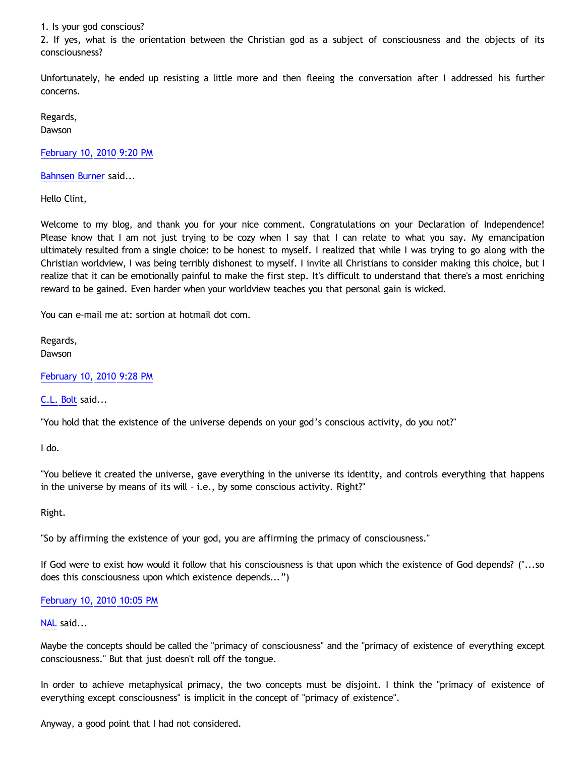1. Is your god conscious?

2. If yes, what is the orientation between the Christian god as a subject of consciousness and the objects of its consciousness?

Unfortunately, he ended up resisting a little more and then fleeing the conversation after I addressed his further concerns.

Regards, Dawson

[February 10, 2010 9:20 PM](http://bahnsenburner.blogspot.com/2010/02/321238798192338024)

[Bahnsen Burner](http://www.blogger.com/profile/11030029491768748360) said...

Hello Clint,

Welcome to my blog, and thank you for your nice comment. Congratulations on your Declaration of Independence! Please know that I am not just trying to be cozy when I say that I can relate to what you say. My emancipation ultimately resulted from a single choice: to be honest to myself. I realized that while I was trying to go along with the Christian worldview, I was being terribly dishonest to myself. I invite all Christians to consider making this choice, but I realize that it can be emotionally painful to make the first step. It's difficult to understand that there's a most enriching reward to be gained. Even harder when your worldview teaches you that personal gain is wicked.

You can e-mail me at: sortion at hotmail dot com.

Regards, Dawson

[February 10, 2010 9:28 PM](http://bahnsenburner.blogspot.com/2010/02/6670585355874042864)

[C.L. Bolt](http://www.blogger.com/profile/15797112064238146744) said...

"You hold that the existence of the universe depends on your god's conscious activity, do you not?"

I do.

"You believe it created the universe, gave everything in the universe its identity, and controls everything that happens in the universe by means of its will – i.e., by some conscious activity. Right?"

Right.

"So by affirming the existence of your god, you are affirming the primacy of consciousness."

If God were to exist how would it follow that his consciousness is that upon which the existence of God depends? ("...so does this consciousness upon which existence depends...")

### [February 10, 2010 10:05 PM](http://bahnsenburner.blogspot.com/2010/02/7135687383734763106)

# [NAL](http://www.blogger.com/profile/12244370945682162312) said...

Maybe the concepts should be called the "primacy of consciousness" and the "primacy of existence of everything except consciousness." But that just doesn't roll off the tongue.

In order to achieve metaphysical primacy, the two concepts must be disjoint. I think the "primacy of existence of everything except consciousness" is implicit in the concept of "primacy of existence".

Anyway, a good point that I had not considered.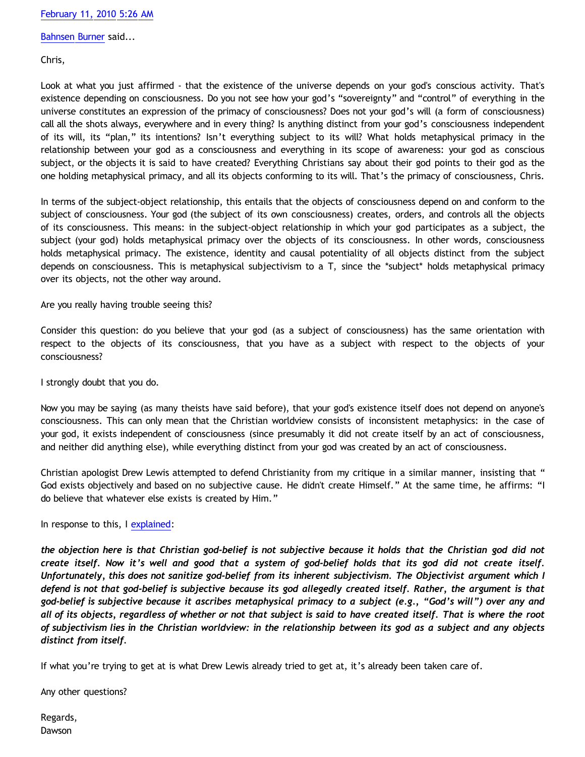[Bahnsen Burner](http://www.blogger.com/profile/11030029491768748360) said...

Chris,

Look at what you just affirmed - that the existence of the universe depends on your god's conscious activity. That's existence depending on consciousness. Do you not see how your god's "sovereignty" and "control" of everything in the universe constitutes an expression of the primacy of consciousness? Does not your god's will (a form of consciousness) call all the shots always, everywhere and in every thing? Is anything distinct from your god's consciousness independent of its will, its "plan," its intentions? Isn't everything subject to its will? What holds metaphysical primacy in the relationship between your god as a consciousness and everything in its scope of awareness: your god as conscious subject, or the objects it is said to have created? Everything Christians say about their god points to their god as the one holding metaphysical primacy, and all its objects conforming to its will. That's the primacy of consciousness, Chris.

In terms of the subject-object relationship, this entails that the objects of consciousness depend on and conform to the subject of consciousness. Your god (the subject of its own consciousness) creates, orders, and controls all the objects of its consciousness. This means: in the subject-object relationship in which your god participates as a subject, the subject (your god) holds metaphysical primacy over the objects of its consciousness. In other words, consciousness holds metaphysical primacy. The existence, identity and causal potentiality of all objects distinct from the subject depends on consciousness. This is metaphysical subjectivism to a T, since the \*subject\* holds metaphysical primacy over its objects, not the other way around.

Are you really having trouble seeing this?

Consider this question: do you believe that your god (as a subject of consciousness) has the same orientation with respect to the objects of its consciousness, that you have as a subject with respect to the objects of your consciousness?

I strongly doubt that you do.

Now you may be saying (as many theists have said before), that your god's existence itself does not depend on anyone's consciousness. This can only mean that the Christian worldview consists of inconsistent metaphysics: in the case of your god, it exists independent of consciousness (since presumably it did not create itself by an act of consciousness, and neither did anything else), while everything distinct from your god was created by an act of consciousness.

Christian apologist Drew Lewis attempted to defend Christianity from my critique in a similar manner, insisting that " God exists objectively and based on no subjective cause. He didn't create Himself." At the same time, he affirms: "I do believe that whatever else exists is created by Him."

In response to this, I [explained](http://bahnsenburner.blogspot.com/2008/12/inherent-subjectivism-of-god-belief.html):

*the objection here is that Christian god-belief is not subjective because it holds that the Christian god did not create itself. Now it's well and good that a system of god-belief holds that its god did not create itself. Unfortunately, this does not sanitize god-belief from its inherent subjectivism. The Objectivist argument which I defend is not that god-belief is subjective because its god allegedly created itself. Rather, the argument is that god-belief is subjective because it ascribes metaphysical primacy to a subject (e.g., "God's will") over any and all of its objects, regardless of whether or not that subject is said to have created itself. That is where the root of subjectivism lies in the Christian worldview: in the relationship between its god as a subject and any objects distinct from itself.*

If what you're trying to get at is what Drew Lewis already tried to get at, it's already been taken care of.

Any other questions?

Regards, Dawson